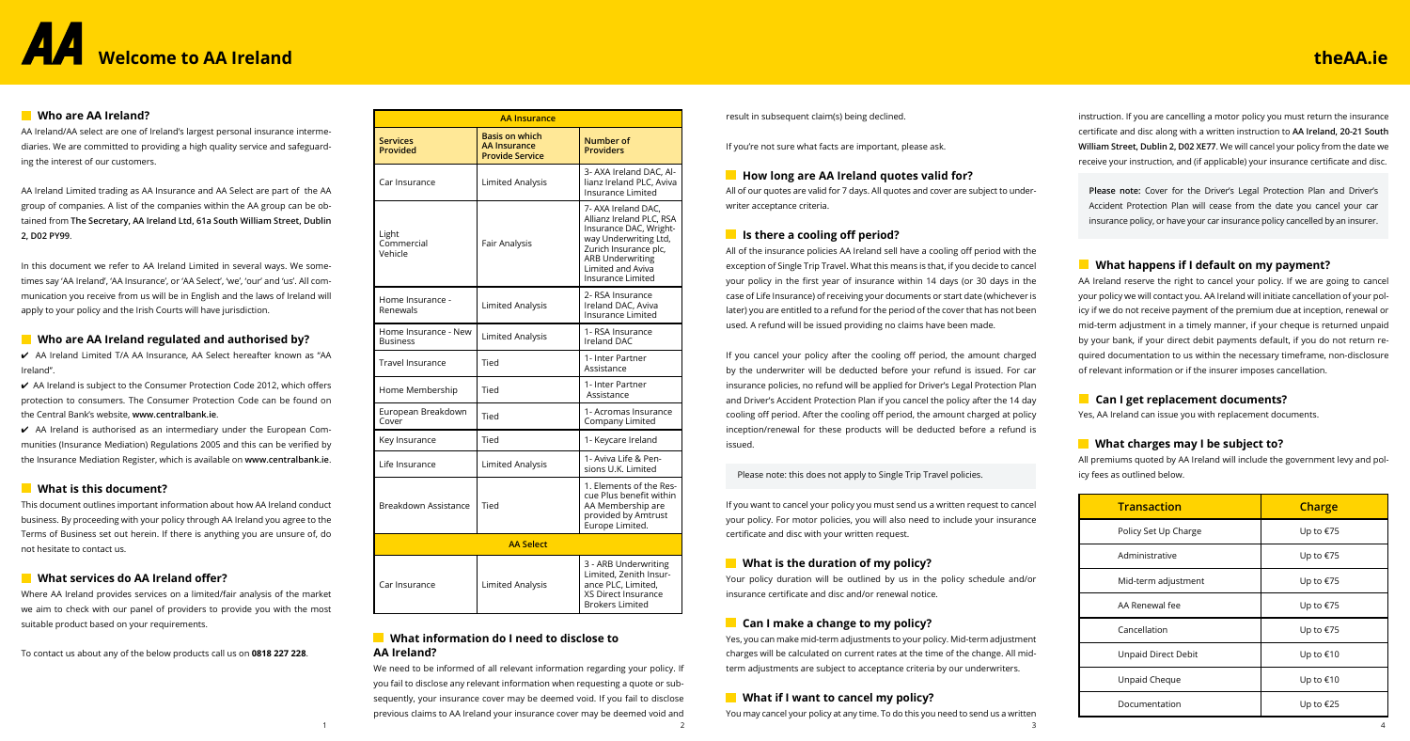# **Welcome to AA Ireland**

instruction. If you are cancelling a motor policy you must return the insurance certificate and disc along with a written instruction to **AA Ireland, 20-21 South William Street, Dublin 2, D02 XE77**. We will cancel your policy from the date we receive your instruction, and (if applicable) your insurance certificate and disc.

**Please note:** Cover for the Driver's Legal Protection Plan and Driver's Accident Protection Plan will cease from the date you cancel your car insurance policy, or have your car insurance policy cancelled by an insurer.

# **What happens if I default on my payment?**

AA Ireland reserve the right to cancel your policy. If we are going to cancel your policy we will contact you. AA Ireland will initiate cancellation of your policy if we do not receive payment of the premium due at inception, renewal or mid-term adjustment in a timely manner, if your cheque is returned unpaid by your bank, if your direct debit payments default, if you do not return required documentation to us within the necessary timeframe, non-disclosure of relevant information or if the insurer imposes cancellation.

# **Can I get replacement documents?**

Yes, AA Ireland can issue you with replacement documents.

# **What charges may I be subject to?**

All premiums quoted by AA Ireland will include the government levy and policy fees as outlined below.



result in subsequent claim(s) being declined.

If you're not sure what facts are important, please ask.

# **How long are AA Ireland quotes valid for?**

All of our quotes are valid for 7 days. All quotes and cover are subject to underwriter acceptance criteria.

# **If** Is there a cooling off period?

We need to be informed of all relevant information regarding your policy. If you fail to disclose any relevant information when requesting a quote or subsequently, your insurance cover may be deemed void. If you fail to disclose previous claims to AA Ireland your insurance cover may be deemed void and 1  $\frac{2}{3}$  4

All of the insurance policies AA Ireland sell have a cooling off period with the exception of Single Trip Travel. What this means is that, if you decide to cancel your policy in the first year of insurance within 14 days (or 30 days in the case of Life Insurance) of receiving your documents or start date (whichever is later) you are entitled to a refund for the period of the cover that has not been used. A refund will be issued providing no claims have been made.

If you cancel your policy after the cooling off period, the amount charged by the underwriter will be deducted before your refund is issued. For car insurance policies, no refund will be applied for Driver's Legal Protection Plan and Driver's Accident Protection Plan if you cancel the policy after the 14 day cooling off period. After the cooling off period, the amount charged at policy inception/renewal for these products will be deducted before a refund is issued.

 $\vee$  AA Ireland is authorised as an intermediary under the European Communities (Insurance Mediation) Regulations 2005 and this can be verified by the Insurance Mediation Register, which is available on **www.centralbank.ie**.

Please note: this does not apply to Single Trip Travel policies.

If you want to cancel your policy you must send us a written request to cancel your policy. For motor policies, you will also need to include your insurance certificate and disc with your written request.

# **What is the duration of my policy?**

Your policy duration will be outlined by us in the policy schedule and/or insurance certificate and disc and/or renewal notice.

# **Can I make a change to my policy?**

Yes, you can make mid-term adjustments to your policy. Mid-term adjustment charges will be calculated on current rates at the time of the change. All midterm adjustments are subject to acceptance criteria by our underwriters.

# **What if I want to cancel my policy?**

You may cancel your policy at any time. To do this you need to send us a written

# **What information do I need to disclose to AA Ireland?**

## **Who are AA Ireland?**

AA Ireland/AA select are one of Ireland's largest personal insurance intermediaries. We are committed to providing a high quality service and safeguarding the interest of our customers.

AA Ireland Limited trading as AA Insurance and AA Select are part of the AA group of companies. A list of the companies within the AA group can be obtained from **The Secretary, AA Ireland Ltd, 61a South William Street, Dublin 2, D02 PY99**.

In this document we refer to AA Ireland Limited in several ways. We sometimes say 'AA Ireland', 'AA Insurance', or 'AA Select', 'we', 'our' and 'us'. All communication you receive from us will be in English and the laws of Ireland will apply to your policy and the Irish Courts will have jurisdiction.

# **Who are AA Ireland regulated and authorised by?**

4 AA Ireland Limited T/A AA Insurance, AA Select hereafter known as "AA Ireland''.

4 AA Ireland is subject to the Consumer Protection Code 2012, which offers protection to consumers. The Consumer Protection Code can be found on the Central Bank's website, **www.centralbank.ie**.

# **What is this document?**

This document outlines important information about how AA Ireland conduct business. By proceeding with your policy through AA Ireland you agree to the Terms of Business set out herein. If there is anything you are unsure of, do not hesitate to contact us.

# **What services do AA Ireland offer?**

Where AA Ireland provides services on a limited/fair analysis of the market we aim to check with our panel of providers to provide you with the most suitable product based on your requirements.

To contact us about any of the below products call us on **0818 227 228**.

| Transaction          | <b>Charge</b> |  |
|----------------------|---------------|--|
| Policy Set Up Charge | Up to €75     |  |
| Administrative       | Up to €75     |  |
| Mid-term adjustment  | Up to €75     |  |
| AA Renewal fee       | Up to €75     |  |
| Cancellation         | Up to €75     |  |
| Unpaid Direct Debit  | Up to €10     |  |
| Unpaid Cheque        | Up to €10     |  |
| Documentation        | Up to €25     |  |

# **theAA.ie**

| <b>AA Insurance</b>                     |                                                                        |                                                                                                                                                                                                         |
|-----------------------------------------|------------------------------------------------------------------------|---------------------------------------------------------------------------------------------------------------------------------------------------------------------------------------------------------|
| <b>Services</b><br>Provided             | <b>Basis on which</b><br><b>AA Insurance</b><br><b>Provide Service</b> | <b>Number of</b><br><b>Providers</b>                                                                                                                                                                    |
| Car Insurance                           | Limited Analysis                                                       | 3- AXA Ireland DAC, Al-<br>lianz Ireland PLC, Aviva<br>Insurance Limited                                                                                                                                |
| Light<br>Commercial<br>Vehicle          | Fair Analysis                                                          | 7- AXA Ireland DAC,<br>Allianz Ireland PLC, RSA<br>Insurance DAC, Wright-<br>way Underwriting Ltd,<br>Zurich Insurance plc,<br><b>ARB Underwriting</b><br>Limited and Aviva<br><b>Insurance Limited</b> |
| Home Insurance -<br>Renewals            | Limited Analysis                                                       | 2- RSA Insurance<br>Ireland DAC, Aviva<br>Insurance Limited                                                                                                                                             |
| Home Insurance - New<br><b>Business</b> | Limited Analysis                                                       | 1- RSA Insurance<br>Ireland DAC                                                                                                                                                                         |
| Travel Insurance                        | Tied                                                                   | 1- Inter Partner<br>Assistance                                                                                                                                                                          |
| Home Membership                         | Tied                                                                   | 1- Inter Partner<br>Assistance                                                                                                                                                                          |
| European Breakdown<br>Cover             | Tied                                                                   | 1- Acromas Insurance<br>Company Limited                                                                                                                                                                 |
| Key Insurance                           | Tied                                                                   | 1- Keycare Ireland                                                                                                                                                                                      |
| Life Insurance                          | Limited Analysis                                                       | 1- Aviva Life & Pen-<br>sions U.K. Limited                                                                                                                                                              |
| Breakdown Assistance                    | Tied                                                                   | 1. Elements of the Res-<br>cue Plus benefit within<br>AA Membership are<br>provided by Amtrust<br>Europe Limited.                                                                                       |
|                                         | <b>AA Select</b>                                                       |                                                                                                                                                                                                         |
| Car Insurance                           | Limited Analysis                                                       | 3 - ARB Underwriting<br>Limited, Zenith Insur-<br>ance PLC, Limited,<br>XS Direct Insurance<br><b>Brokers Limited</b>                                                                                   |